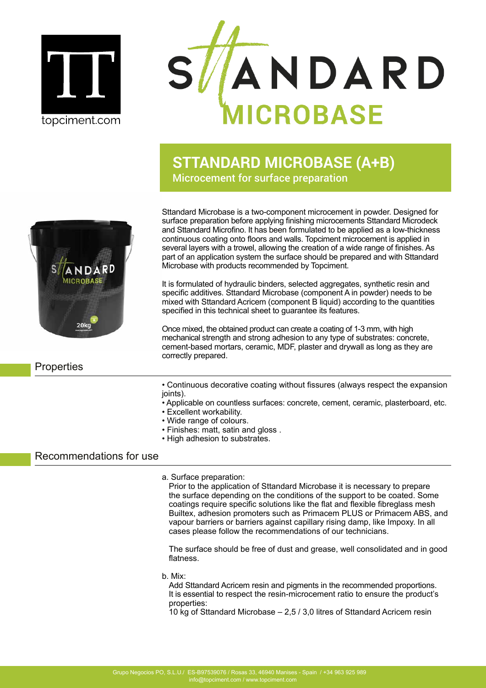



# **STTANDARD MICROBASE (A+B)** Microcement for surface preparation



Sttandard Microbase is a two-component microcement in powder. Designed for surface preparation before applying finishing microcements Sttandard Microdeck and Sttandard Microfino. It has been formulated to be applied as a low-thickness continuous coating onto floors and walls. Topciment microcement is applied in several layers with a trowel, allowing the creation of a wide range of finishes. As part of an application system the surface should be prepared and with Sttandard Microbase with products recommended by Topciment.

It is formulated of hydraulic binders, selected aggregates, synthetic resin and specific additives. Sttandard Microbase (component A in powder) needs to be mixed with Sttandard Acricem (component B liquid) according to the quantities specified in this technical sheet to guarantee its features.

Once mixed, the obtained product can create a coating of 1-3 mm, with high mechanical strength and strong adhesion to any type of substrates: concrete, cement-based mortars, ceramic, MDF, plaster and drywall as long as they are correctly prepared.

## **Properties**

- Continuous decorative coating without fissures (always respect the expansion ioints).
- Applicable on countless surfaces: concrete, cement, ceramic, plasterboard, etc.
- Excellent workability.
- Wide range of colours.
- Finishes: matt, satin and gloss .
- High adhesion to substrates.

## Recommendations for use

a. Surface preparation:

Prior to the application of Sttandard Microbase it is necessary to prepare the surface depending on the conditions of the support to be coated. Some coatings require specific solutions like the flat and flexible fibreglass mesh Builtex, adhesion promoters such as Primacem PLUS or Primacem ABS, and vapour barriers or barriers against capillary rising damp, like Impoxy. In all cases please follow the recommendations of our technicians.

The surface should be free of dust and grease, well consolidated and in good flatness.

b. Mix:

Add Sttandard Acricem resin and pigments in the recommended proportions. It is essential to respect the resin-microcement ratio to ensure the product's properties:

10 kg of Sttandard Microbase – 2,5 / 3,0 litres of Sttandard Acricem resin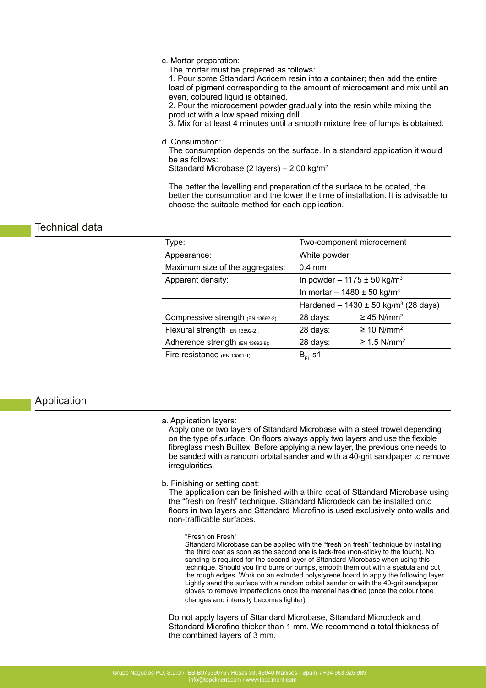#### c. Mortar preparation:

The mortar must be prepared as follows:

1. Pour some Sttandard Acricem resin into a container; then add the entire load of pigment corresponding to the amount of microcement and mix until an even, coloured liquid is obtained.

2. Pour the microcement powder gradually into the resin while mixing the product with a low speed mixing drill.

3. Mix for at least 4 minutes until a smooth mixture free of lumps is obtained.

d. Consumption:

The consumption depends on the surface. In a standard application it would be as follows:

Sttandard Microbase (2 layers) – 2.00 kg/m<sup>2</sup>

The better the levelling and preparation of the surface to be coated, the better the consumption and the lower the time of installation. It is advisable to choose the suitable method for each application.

## Technical data

| Type:                              | Two-component microcement                            |                              |
|------------------------------------|------------------------------------------------------|------------------------------|
| Appearance:                        | White powder                                         |                              |
| Maximum size of the aggregates:    | $0.4 \text{ mm}$                                     |                              |
| Apparent density:                  | In powder - 1175 $\pm$ 50 kg/m <sup>3</sup>          |                              |
|                                    | In mortar $- 1480 \pm 50$ kg/m <sup>3</sup>          |                              |
|                                    | Hardened - $1430 \pm 50$ kg/m <sup>3</sup> (28 days) |                              |
| Compressive strength (EN 13892-2): | 28 days:                                             | $\geq$ 45 N/mm <sup>2</sup>  |
| Flexural strength (EN 13892-2):    | 28 days:                                             | $\geq$ 10 N/mm <sup>2</sup>  |
| Adherence strength (EN 13892-8):   | 28 days:                                             | $\geq$ 1.5 N/mm <sup>2</sup> |
| Fire resistance $(EN 13501-1)$ :   | $B_{FL}$ s1                                          |                              |

### Application

#### a. Application layers:

Apply one or two layers of Sttandard Microbase with a steel trowel depending on the type of surface. On floors always apply two layers and use the flexible fibreglass mesh Builtex. Before applying a new layer, the previous one needs to be sanded with a random orbital sander and with a 40-grit sandpaper to remove irregularities.

b. Finishing or setting coat:

The application can be finished with a third coat of Sttandard Microbase using the "fresh on fresh" technique. Sttandard Microdeck can be installed onto floors in two layers and Sttandard Microfino is used exclusively onto walls and non-trafficable surfaces.

"Fresh on Fresh"

Sttandard Microbase can be applied with the "fresh on fresh" technique by installing the third coat as soon as the second one is tack-free (non-sticky to the touch). No sanding is required for the second layer of Sttandard Microbase when using this technique. Should you find burrs or bumps, smooth them out with a spatula and cut the rough edges. Work on an extruded polystyrene board to apply the following layer. Lightly sand the surface with a random orbital sander or with the 40-grit sandpaper gloves to remove imperfections once the material has dried (once the colour tone changes and intensity becomes lighter).

Do not apply layers of Sttandard Microbase, Sttandard Microdeck and Sttandard Microfino thicker than 1 mm. We recommend a total thickness of the combined layers of 3 mm.